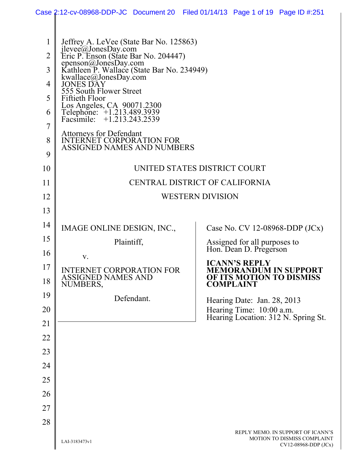|                                         |                                                                                                                                                                                                                                                                 | Case 2:12-cv-08968-DDP-JC Document 20 Filed 01/14/13 Page 1 of 19 Page ID #:251                      |  |  |  |  |
|-----------------------------------------|-----------------------------------------------------------------------------------------------------------------------------------------------------------------------------------------------------------------------------------------------------------------|------------------------------------------------------------------------------------------------------|--|--|--|--|
| 1<br>$\overline{2}$<br>3<br>4<br>5<br>6 | Jeffrey A. LeVee (State Bar No. 125863)<br>jlevee@JonesDay.com<br>Eric P. Enson (State Bar No. 204447)<br>epenson@JonesDay.com<br>Kathleen P. Wallace (State Bar No. 234949)<br>kwallace@JonesDay.com<br>JONES DAY<br>555 South Flower Street<br>Fiftieth Floor |                                                                                                      |  |  |  |  |
| 7                                       | Los Angeles, CA 90071.2300<br>Telephone: +1.213.489.3939<br>Facsimile: +1.213.243.2539                                                                                                                                                                          |                                                                                                      |  |  |  |  |
| 8<br>9                                  | <b>Attorneys for Defendant</b><br><b>INTERNET CORPORATION FOR</b><br><b>ASSIGNED NAMES AND NUMBERS</b>                                                                                                                                                          |                                                                                                      |  |  |  |  |
| 10                                      | UNITED STATES DISTRICT COURT                                                                                                                                                                                                                                    |                                                                                                      |  |  |  |  |
| 11                                      | CENTRAL DISTRICT OF CALIFORNIA                                                                                                                                                                                                                                  |                                                                                                      |  |  |  |  |
| 12                                      |                                                                                                                                                                                                                                                                 | <b>WESTERN DIVISION</b>                                                                              |  |  |  |  |
| 13                                      |                                                                                                                                                                                                                                                                 |                                                                                                      |  |  |  |  |
| 14                                      | IMAGE ONLINE DESIGN, INC.,                                                                                                                                                                                                                                      | Case No. CV 12-08968-DDP $(JCx)$                                                                     |  |  |  |  |
| 15                                      | Plaintiff,                                                                                                                                                                                                                                                      | Assigned for all purposes to<br>Hon. Dean D. Pregerson                                               |  |  |  |  |
| 16                                      | V.                                                                                                                                                                                                                                                              |                                                                                                      |  |  |  |  |
| 17<br>18                                | <b>INTERNET CORPORATION FOR</b><br>ASSIGNED NAMES AND<br>NUMBERS,                                                                                                                                                                                               | <b>ICANN'S REPLY</b><br><b>MEMORANDUM IN SUPPORT</b><br>OF ITS MOTION TO DISMISS<br><b>COMPLAINT</b> |  |  |  |  |
| 19                                      | Defendant.                                                                                                                                                                                                                                                      | Hearing Date: Jan. 28, 2013                                                                          |  |  |  |  |
| 20                                      |                                                                                                                                                                                                                                                                 | Hearing Time: 10:00 a.m.<br>Hearing Location: 312 N. Spring St.                                      |  |  |  |  |
| 21                                      |                                                                                                                                                                                                                                                                 |                                                                                                      |  |  |  |  |
| 22                                      |                                                                                                                                                                                                                                                                 |                                                                                                      |  |  |  |  |
| 23                                      |                                                                                                                                                                                                                                                                 |                                                                                                      |  |  |  |  |
| 24                                      |                                                                                                                                                                                                                                                                 |                                                                                                      |  |  |  |  |
| 25<br>26                                |                                                                                                                                                                                                                                                                 |                                                                                                      |  |  |  |  |
| 27                                      |                                                                                                                                                                                                                                                                 |                                                                                                      |  |  |  |  |
| 28                                      |                                                                                                                                                                                                                                                                 |                                                                                                      |  |  |  |  |
|                                         | LAI-3183473v1                                                                                                                                                                                                                                                   | REPLY MEMO. IN SUPPORT OF ICANN'S<br>MOTION TO DISMISS COMPLAINT<br>$CV12-08968-DDP$ (JCx)           |  |  |  |  |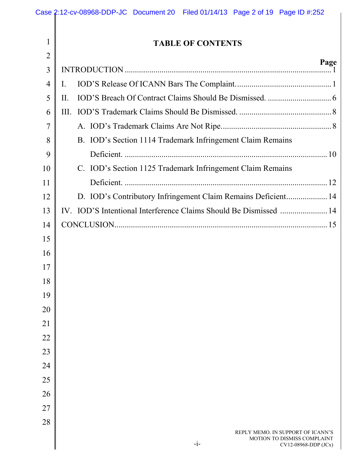|                | Case 2:12-cv-08968-DDP-JC Document 20 Filed 01/14/13 Page 2 of 19 Page ID #:252 |      |
|----------------|---------------------------------------------------------------------------------|------|
| 1              | <b>TABLE OF CONTENTS</b>                                                        |      |
| $\overline{2}$ |                                                                                 |      |
| 3              |                                                                                 | Page |
| $\overline{4}$ | Ι.                                                                              |      |
| 5              | II.                                                                             |      |
| 6              |                                                                                 |      |
| $\overline{7}$ |                                                                                 |      |
| 8              | B. IOD's Section 1114 Trademark Infringement Claim Remains                      |      |
| 9              |                                                                                 |      |
| 10             | C. IOD's Section 1125 Trademark Infringement Claim Remains                      |      |
| 11             |                                                                                 |      |
| 12             | D. IOD's Contributory Infringement Claim Remains Deficient 14                   |      |
| 13             |                                                                                 |      |
| 14             |                                                                                 |      |
| 15             |                                                                                 |      |
| 16             |                                                                                 |      |
| 17             |                                                                                 |      |
| 18             |                                                                                 |      |
| 19             |                                                                                 |      |
| $20\,$         |                                                                                 |      |
| 21             |                                                                                 |      |
| $22\,$         |                                                                                 |      |
| 23             |                                                                                 |      |
| 24             |                                                                                 |      |
| 25             |                                                                                 |      |
| 26             |                                                                                 |      |
| 27             |                                                                                 |      |

28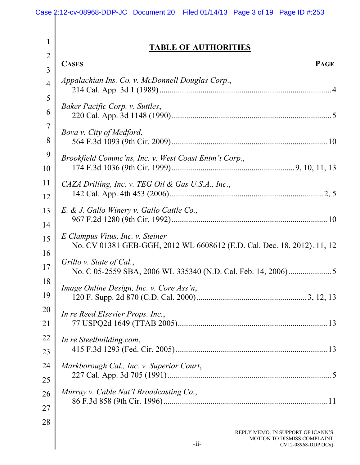## **TABLE OF AUTHORITIES**

| 2              | <b>PAGE</b><br><b>CASES</b>                                             |
|----------------|-------------------------------------------------------------------------|
| 3              |                                                                         |
| $\overline{4}$ | Appalachian Ins. Co. v. McDonnell Douglas Corp.,                        |
| 5              |                                                                         |
| 6              | Baker Pacific Corp. v. Suttles,                                         |
| 7              | Bova v. City of Medford,                                                |
| 8              |                                                                         |
| 9              | Brookfield Commc'ns, Inc. v. West Coast Entm't Corp.,                   |
| 10             |                                                                         |
| 11             | CAZA Drilling, Inc. v. TEG Oil & Gas U.S.A., Inc.,                      |
| 12             |                                                                         |
| 13             | E. & J. Gallo Winery v. Gallo Cattle Co.,                               |
| 14             |                                                                         |
| 15             | E Clampus Vitus, Inc. v. Steiner                                        |
| 16             | No. CV 01381 GEB-GGH, 2012 WL 6608612 (E.D. Cal. Dec. 18, 2012). 11, 12 |
| 17             | Grillo v. State of Cal.,                                                |
| 18             | Image Online Design, Inc. v. Core Ass'n,                                |
| 19             |                                                                         |
| 20             | In re Reed Elsevier Props. Inc.                                         |
| 21             |                                                                         |
| 22             | In re Steelbuilding.com,                                                |
| 23             |                                                                         |
| 24             | Markborough Cal., Inc. v. Superior Court,                               |
| 25             |                                                                         |
| 26             | Murray v. Cable Nat'l Broadcasting Co.,                                 |
| 27             |                                                                         |
| 28             | REPLY MEMO. IN SUPPORT OF ICANN'S                                       |

CV12-08968-DDP (JCx)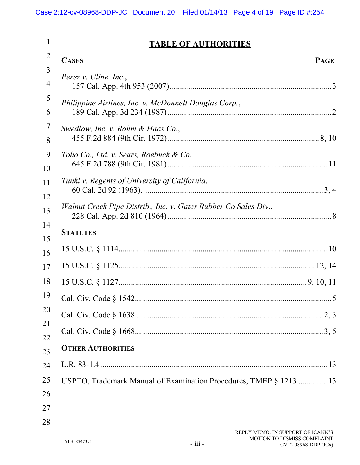## **TABLE OF AUTHORITIES**

| $\overline{2}$      | <b>CASES</b><br><b>PAGE</b>                                        |
|---------------------|--------------------------------------------------------------------|
| 3<br>$\overline{4}$ | Perez v. Uline, Inc.,                                              |
| 5<br>6              | Philippine Airlines, Inc. v. McDonnell Douglas Corp.,              |
| 7<br>8              | Swedlow, Inc. v. Rohm & Haas Co.,                                  |
| 9<br>10             | Toho Co., Ltd. v. Sears, Roebuck & Co.                             |
| 11<br>12            | Tunkl v. Regents of University of California,                      |
| 13                  | Walnut Creek Pipe Distrib., Inc. v. Gates Rubber Co Sales Div.,    |
| 14<br>15            | <b>STATUTES</b>                                                    |
| 16                  |                                                                    |
| 17                  |                                                                    |
| 18                  |                                                                    |
| 19                  |                                                                    |
| 20                  |                                                                    |
| 21<br>22            |                                                                    |
| 23                  | <b>OTHER AUTHORITIES</b>                                           |
| 24                  |                                                                    |
| 25                  | USPTO, Trademark Manual of Examination Procedures, TMEP § 1213  13 |
| 26                  |                                                                    |
| 27                  |                                                                    |
| 28                  | REPLY MEMO. IN SUPPORT OF ICANN'S<br>MOTION TO DISMISS COMPLAINT   |

 $\parallel$ 

1

CV12-08968-DDP (JCx)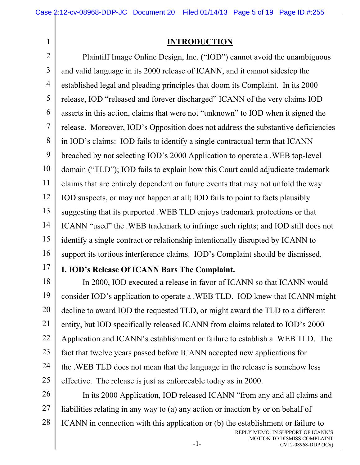## **INTRODUCTION**

2 3 4 5 6 7 8 9 10 11 12 13 14 15 16 Plaintiff Image Online Design, Inc. ("IOD") cannot avoid the unambiguous and valid language in its 2000 release of ICANN, and it cannot sidestep the established legal and pleading principles that doom its Complaint. In its 2000 release, IOD "released and forever discharged" ICANN of the very claims IOD asserts in this action, claims that were not "unknown" to IOD when it signed the release. Moreover, IOD's Opposition does not address the substantive deficiencies in IOD's claims: IOD fails to identify a single contractual term that ICANN breached by not selecting IOD's 2000 Application to operate a .WEB top-level domain ("TLD"); IOD fails to explain how this Court could adjudicate trademark claims that are entirely dependent on future events that may not unfold the way IOD suspects, or may not happen at all; IOD fails to point to facts plausibly suggesting that its purported .WEB TLD enjoys trademark protections or that ICANN "used" the .WEB trademark to infringe such rights; and IOD still does not identify a single contract or relationship intentionally disrupted by ICANN to support its tortious interference claims. IOD's Complaint should be dismissed.

17

1

# **I. IOD's Release Of ICANN Bars The Complaint.**

18 19 20 21 22 23 24 25 In 2000, IOD executed a release in favor of ICANN so that ICANN would consider IOD's application to operate a .WEB TLD. IOD knew that ICANN might decline to award IOD the requested TLD, or might award the TLD to a different entity, but IOD specifically released ICANN from claims related to IOD's 2000 Application and ICANN's establishment or failure to establish a .WEB TLD. The fact that twelve years passed before ICANN accepted new applications for the .WEB TLD does not mean that the language in the release is somehow less effective. The release is just as enforceable today as in 2000.

26 27 28 In its 2000 Application, IOD released ICANN "from any and all claims and liabilities relating in any way to (a) any action or inaction by or on behalf of ICANN in connection with this application or (b) the establishment or failure to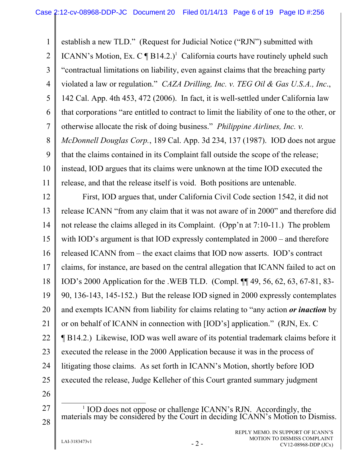1 2 3 4 5 6 7 8 9 10 11 establish a new TLD." (Request for Judicial Notice ("RJN") submitted with ICANN's Motion, Ex. C  $\P$  B14.2.)<sup>1</sup> California courts have routinely upheld such "contractual limitations on liability, even against claims that the breaching party violated a law or regulation." *CAZA Drilling, Inc. v. TEG Oil & Gas U.S.A., Inc*., 142 Cal. App. 4th 453, 472 (2006). In fact, it is well-settled under California law that corporations "are entitled to contract to limit the liability of one to the other, or otherwise allocate the risk of doing business." *Philippine Airlines, Inc. v. McDonnell Douglas Corp.*, 189 Cal. App. 3d 234, 137 (1987). IOD does not argue that the claims contained in its Complaint fall outside the scope of the release; instead, IOD argues that its claims were unknown at the time IOD executed the release, and that the release itself is void. Both positions are untenable.

12 13 14 15 16 17 18 19 20 21 22 23 24 25 First, IOD argues that, under California Civil Code section 1542, it did not release ICANN "from any claim that it was not aware of in 2000" and therefore did not release the claims alleged in its Complaint. (Opp'n at 7:10-11.) The problem with IOD's argument is that IOD expressly contemplated in  $2000$  – and therefore released ICANN from – the exact claims that IOD now asserts. IOD's contract claims, for instance, are based on the central allegation that ICANN failed to act on IOD's 2000 Application for the .WEB TLD. (Compl. ¶¶ 49, 56, 62, 63, 67-81, 83- 90, 136-143, 145-152.) But the release IOD signed in 2000 expressly contemplates and exempts ICANN from liability for claims relating to "any action *or inaction* by or on behalf of ICANN in connection with [IOD's] application." (RJN, Ex. C ¶ B14.2.) Likewise, IOD was well aware of its potential trademark claims before it executed the release in the 2000 Application because it was in the process of litigating those claims. As set forth in ICANN's Motion, shortly before IOD executed the release, Judge Kelleher of this Court granted summary judgment

26

27

28

<u>1</u>  $1$  IOD does not oppose or challenge ICANN's RJN. Accordingly, the materials may be considered by the Court in deciding ICANN's Motion to Dismiss.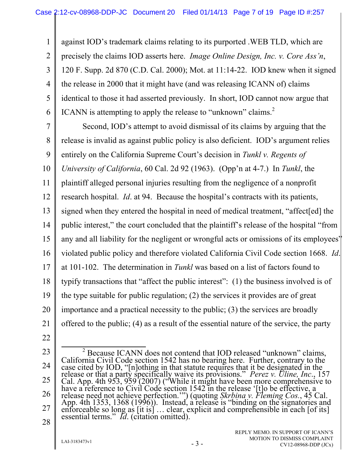1 2 3 4 5 6 against IOD's trademark claims relating to its purported .WEB TLD, which are precisely the claims IOD asserts here. *Image Online Design, Inc. v. Core Ass'n*, 120 F. Supp. 2d 870 (C.D. Cal. 2000); Mot. at 11:14-22. IOD knew when it signed the release in 2000 that it might have (and was releasing ICANN of) claims identical to those it had asserted previously. In short, IOD cannot now argue that ICANN is attempting to apply the release to "unknown" claims. $2$ 

7 8 9 10 11 12 13 14 15 16 17 18 19 20 21 Second, IOD's attempt to avoid dismissal of its claims by arguing that the release is invalid as against public policy is also deficient. IOD's argument relies entirely on the California Supreme Court's decision in *Tunkl v. Regents of University of California*, 60 Cal. 2d 92 (1963). (Opp'n at 4-7.) In *Tunkl*, the plaintiff alleged personal injuries resulting from the negligence of a nonprofit research hospital. *Id*. at 94. Because the hospital's contracts with its patients, signed when they entered the hospital in need of medical treatment, "affect[ed] the public interest," the court concluded that the plaintiff's release of the hospital "from any and all liability for the negligent or wrongful acts or omissions of its employees" violated public policy and therefore violated California Civil Code section 1668. *Id*. at 101-102. The determination in *Tunkl* was based on a list of factors found to typify transactions that "affect the public interest": (1) the business involved is of the type suitable for public regulation; (2) the services it provides are of great importance and a practical necessity to the public; (3) the services are broadly offered to the public; (4) as a result of the essential nature of the service, the party

- 22
- 23

<sup>24</sup>  25 26 27 28  $\frac{1}{2}$ <sup>2</sup> Because ICANN does not contend that IOD released "unknown" claims,<br>California Civil Code section 1542 has no bearing here. Further, contrary to the<br>case cited by IOD, "[n]othing in that statute requires that it be desi release or that a party specifically waive its provisions." *Perez v. Uline, Inc.*, 157 Cal. App. 4th 953, 959 (2007) ("While it might have been more comprehensive to have a reference to Civil Code section 1542 in the rel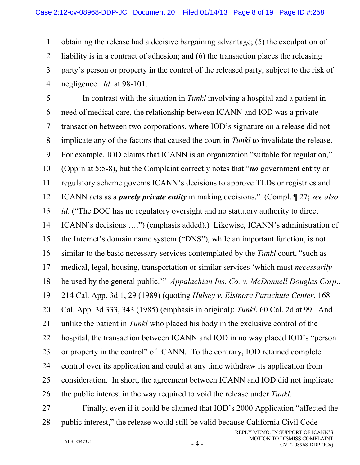1 2 3 4 obtaining the release had a decisive bargaining advantage; (5) the exculpation of liability is in a contract of adhesion; and (6) the transaction places the releasing party's person or property in the control of the released party, subject to the risk of negligence. *Id*. at 98-101.

5 6 7 8 9 10 11 12 13 14 15 16 17 18 19 20 21 22 23 24 25 26 In contrast with the situation in *Tunkl* involving a hospital and a patient in need of medical care, the relationship between ICANN and IOD was a private transaction between two corporations, where IOD's signature on a release did not implicate any of the factors that caused the court in *Tunkl* to invalidate the release. For example, IOD claims that ICANN is an organization "suitable for regulation," (Opp'n at 5:5-8), but the Complaint correctly notes that "*no* government entity or regulatory scheme governs ICANN's decisions to approve TLDs or registries and ICANN acts as a *purely private entity* in making decisions." (Compl. ¶ 27; *see also id*. ("The DOC has no regulatory oversight and no statutory authority to direct ICANN's decisions ….") (emphasis added).) Likewise, ICANN's administration of the Internet's domain name system ("DNS"), while an important function, is not similar to the basic necessary services contemplated by the *Tunkl* court, "such as medical, legal, housing, transportation or similar services 'which must *necessarily* be used by the general public.'" *Appalachian Ins. Co. v. McDonnell Douglas Corp*., 214 Cal. App. 3d 1, 29 (1989) (quoting *Hulsey v. Elsinore Parachute Center*, 168 Cal. App. 3d 333, 343 (1985) (emphasis in original); *Tunkl*, 60 Cal. 2d at 99. And unlike the patient in *Tunkl* who placed his body in the exclusive control of the hospital, the transaction between ICANN and IOD in no way placed IOD's "person or property in the control" of ICANN. To the contrary, IOD retained complete control over its application and could at any time withdraw its application from consideration.In short, the agreement between ICANN and IOD did not implicate the public interest in the way required to void the release under *Tunkl*.

27 28 Finally, even if it could be claimed that IOD's 2000 Application "affected the public interest," the release would still be valid because California Civil Code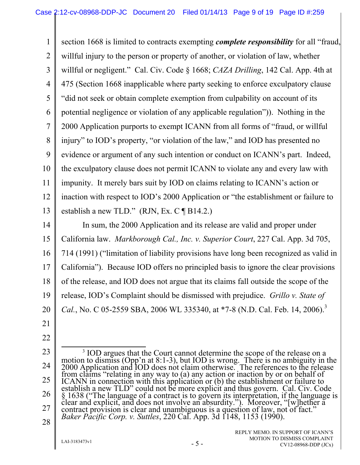1 2 3 4 5 6 7 8 9 10 11 12 13 section 1668 is limited to contracts exempting *complete responsibility* for all "fraud, willful injury to the person or property of another, or violation of law, whether willful or negligent." Cal. Civ. Code § 1668; *CAZA Drilling*, 142 Cal. App. 4th at 475 (Section 1668 inapplicable where party seeking to enforce exculpatory clause "did not seek or obtain complete exemption from culpability on account of its potential negligence or violation of any applicable regulation")). Nothing in the 2000 Application purports to exempt ICANN from all forms of "fraud, or willful injury" to IOD's property, "or violation of the law," and IOD has presented no evidence or argument of any such intention or conduct on ICANN's part. Indeed, the exculpatory clause does not permit ICANN to violate any and every law with impunity. It merely bars suit by IOD on claims relating to ICANN's action or inaction with respect to IOD's 2000 Application or "the establishment or failure to establish a new TLD." (RJN, Ex. C ¶ B14.2.)

14 15 16 17 18 19 20 In sum, the 2000 Application and its release are valid and proper under California law. *Markborough Cal., Inc. v. Superior Court*, 227 Cal. App. 3d 705, 714 (1991) ("limitation of liability provisions have long been recognized as valid in California"). Because IOD offers no principled basis to ignore the clear provisions of the release, and IOD does not argue that its claims fall outside the scope of the release, IOD's Complaint should be dismissed with prejudice. *Grillo v. State of Cal.*, No. C 05-2559 SBA, 2006 WL 335340, at \*7-8 (N.D. Cal. Feb. 14, 2006).<sup>3</sup>

- 21 22
- 23
- 24

25 26 27  $\frac{1}{3}$ <sup>3</sup> IOD argues that the Court cannot determine the scope of the release on a motion to dismiss (Opp'n at 8:1-3), but IOD is wrong. There is no ambiguity in the 2000 Application and IOD does not claim otherwise. The references to the release from claims "relating in any way to (a) any action or inaction by or on behalf of<br>ICANN in connection with this application or (b) the establishment or failure to<br>establish a new TLD" could not be more explicit and thus go *Baker Pacific Corp. v. Suttles*, 220 Cal. App. 3d 1148, 1153 (1990).

28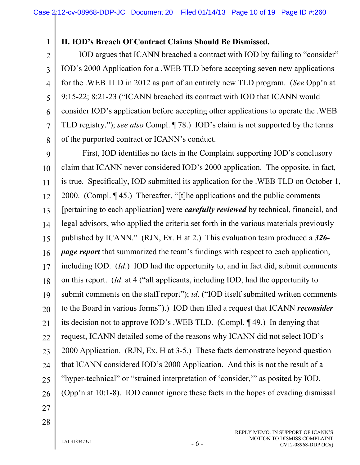#### **II. IOD's Breach Of Contract Claims Should Be Dismissed.**

2 3 4 6 IOD argues that ICANN breached a contract with IOD by failing to "consider" IOD's 2000 Application for a .WEB TLD before accepting seven new applications for the .WEB TLD in 2012 as part of an entirely new TLD program. (*See* Opp'n at 9:15-22; 8:21-23 ("ICANN breached its contract with IOD that ICANN would consider IOD's application before accepting other applications to operate the .WEB TLD registry."); *see also* Compl. ¶ 78.) IOD's claim is not supported by the terms of the purported contract or ICANN's conduct.

9 10 11 12 13 14 15 16 17 18 19 20 21 22 23 24 25 26 First, IOD identifies no facts in the Complaint supporting IOD's conclusory claim that ICANN never considered IOD's 2000 application. The opposite, in fact, is true. Specifically, IOD submitted its application for the .WEB TLD on October 1, 2000. (Compl. ¶ 45.) Thereafter, "[t]he applications and the public comments [pertaining to each application] were *carefully reviewed* by technical, financial, and legal advisors, who applied the criteria set forth in the various materials previously published by ICANN." (RJN, Ex. H at 2.) This evaluation team produced a *326 page report* that summarized the team's findings with respect to each application, including IOD. (*Id*.) IOD had the opportunity to, and in fact did, submit comments on this report. (*Id*. at 4 ("all applicants, including IOD, had the opportunity to submit comments on the staff report"); *id.* ("IOD itself submitted written comments to the Board in various forms").) IOD then filed a request that ICANN *reconsider*  its decision not to approve IOD's .WEB TLD. (Compl. ¶ 49.) In denying that request, ICANN detailed some of the reasons why ICANN did not select IOD's 2000 Application. (RJN, Ex. H at 3-5.) These facts demonstrate beyond question that ICANN considered IOD's 2000 Application. And this is not the result of a "hyper-technical" or "strained interpretation of 'consider,'" as posited by IOD. (Opp'n at 10:1-8). IOD cannot ignore these facts in the hopes of evading dismissal

27 28

1

5

7

8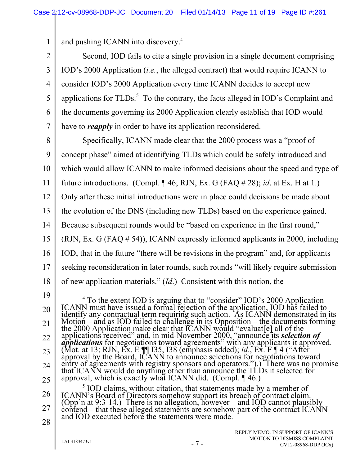1 and pushing ICANN into discovery.4

2 3 4 5 6 7 Second, IOD fails to cite a single provision in a single document comprising IOD's 2000 Application (*i.e.*, the alleged contract) that would require ICANN to consider IOD's 2000 Application every time ICANN decides to accept new applications for TLDs.<sup>5</sup> To the contrary, the facts alleged in IOD's Complaint and the documents governing its 2000 Application clearly establish that IOD would have to *reapply* in order to have its application reconsidered.

8

9 10 11 12 13 14 15 16 17 18 Specifically, ICANN made clear that the 2000 process was a "proof of concept phase" aimed at identifying TLDs which could be safely introduced and which would allow ICANN to make informed decisions about the speed and type of future introductions. (Compl. ¶ 46; RJN, Ex. G (FAQ # 28); *id*. at Ex. H at 1.) Only after these initial introductions were in place could decisions be made about the evolution of the DNS (including new TLDs) based on the experience gained. Because subsequent rounds would be "based on experience in the first round," (RJN, Ex. G (FAQ # 54)), ICANN expressly informed applicants in 2000, including IOD, that in the future "there will be revisions in the program" and, for applicants seeking reconsideration in later rounds, such rounds "will likely require submission of new application materials." (*Id*.) Consistent with this notion, the

26 27 <sup>5</sup> IOD claims, without citation, that statements made by a member of ICANN's Board of Directors somehow support its breach of contract claim. (Opp'n at 9:3-14.) There is no allegation, however – and IOD cannot plausibly contend – that these alleged statements are somehow part of the contract ICANN and IOD executed before the statements were made.

<sup>19</sup>  20 21 22 23 24 25 4 <sup>4</sup> To the extent IOD is arguing that to "consider" IOD's 2000 Application<br>ICANN must have issued a formal rejection of the application, IOD has failed to<br>identify any contractual term requiring such action. As ICANN demon nothing any contractual term requiring such action. As ICANN demonstrated in its<br>Motion – and as IOD failed to challenge in its Opposition – the documents forming<br>the 2000 Application make clear that ICANN would "evaluat[ approval, which is exactly what ICANN did. (Compl. ¶ 46.)

<sup>28</sup>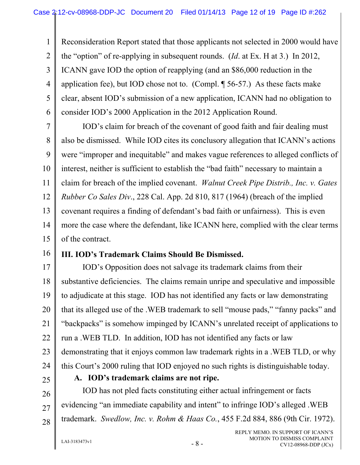1 2 3 4 5 6 Reconsideration Report stated that those applicants not selected in 2000 would have the "option" of re-applying in subsequent rounds. (*Id*. at Ex. H at 3.) In 2012, ICANN gave IOD the option of reapplying (and an \$86,000 reduction in the application fee), but IOD chose not to. (Compl. ¶ 56-57.) As these facts make clear, absent IOD's submission of a new application, ICANN had no obligation to consider IOD's 2000 Application in the 2012 Application Round.

7 8 9 10 11 12 13 14 15 IOD's claim for breach of the covenant of good faith and fair dealing must also be dismissed. While IOD cites its conclusory allegation that ICANN's actions were "improper and inequitable" and makes vague references to alleged conflicts of interest, neither is sufficient to establish the "bad faith" necessary to maintain a claim for breach of the implied covenant. *Walnut Creek Pipe Distrib., Inc. v. Gates Rubber Co Sales Div*., 228 Cal. App. 2d 810, 817 (1964) (breach of the implied covenant requires a finding of defendant's bad faith or unfairness). This is even more the case where the defendant, like ICANN here, complied with the clear terms of the contract.

16

### **III. IOD's Trademark Claims Should Be Dismissed.**

17 18 19 20 21 22 23 24 IOD's Opposition does not salvage its trademark claims from their substantive deficiencies. The claims remain unripe and speculative and impossible to adjudicate at this stage. IOD has not identified any facts or law demonstrating that its alleged use of the .WEB trademark to sell "mouse pads," "fanny packs" and "backpacks" is somehow impinged by ICANN's unrelated receipt of applications to run a .WEB TLD. In addition, IOD has not identified any facts or law demonstrating that it enjoys common law trademark rights in a .WEB TLD, or why this Court's 2000 ruling that IOD enjoyed no such rights is distinguishable today.

25

**A. IOD's trademark claims are not ripe.** 

26 27 28 IOD has not pled facts constituting either actual infringement or facts evidencing "an immediate capability and intent" to infringe IOD's alleged .WEB trademark. *Swedlow, Inc. v. Rohm & Haas Co.*, 455 F.2d 884, 886 (9th Cir. 1972).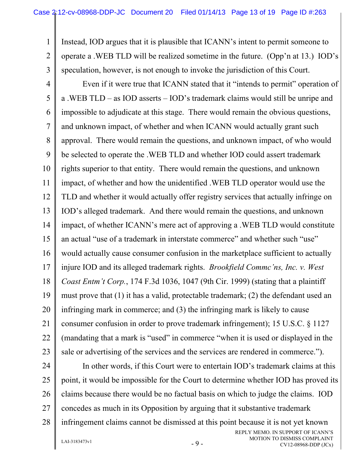1 2 3 Instead, IOD argues that it is plausible that ICANN's intent to permit someone to operate a .WEB TLD will be realized sometime in the future. (Opp'n at 13.) IOD's speculation, however, is not enough to invoke the jurisdiction of this Court.

4 5 6 7 8 9 10 11 12 13 14 15 16 17 18 19 20 21 22 23 Even if it were true that ICANN stated that it "intends to permit" operation of a .WEB TLD – as IOD asserts – IOD's trademark claims would still be unripe and impossible to adjudicate at this stage. There would remain the obvious questions, and unknown impact, of whether and when ICANN would actually grant such approval. There would remain the questions, and unknown impact, of who would be selected to operate the .WEB TLD and whether IOD could assert trademark rights superior to that entity. There would remain the questions, and unknown impact, of whether and how the unidentified .WEB TLD operator would use the TLD and whether it would actually offer registry services that actually infringe on IOD's alleged trademark. And there would remain the questions, and unknown impact, of whether ICANN's mere act of approving a .WEB TLD would constitute an actual "use of a trademark in interstate commerce" and whether such "use" would actually cause consumer confusion in the marketplace sufficient to actually injure IOD and its alleged trademark rights. *Brookfield Commc'ns, Inc. v. West Coast Entm't Corp.*, 174 F.3d 1036, 1047 (9th Cir. 1999) (stating that a plaintiff must prove that (1) it has a valid, protectable trademark; (2) the defendant used an infringing mark in commerce; and (3) the infringing mark is likely to cause consumer confusion in order to prove trademark infringement); 15 U.S.C. § 1127 (mandating that a mark is "used" in commerce "when it is used or displayed in the sale or advertising of the services and the services are rendered in commerce.").

24

25 26 27 28 In other words, if this Court were to entertain IOD's trademark claims at this point, it would be impossible for the Court to determine whether IOD has proved its claims because there would be no factual basis on which to judge the claims. IOD concedes as much in its Opposition by arguing that it substantive trademark infringement claims cannot be dismissed at this point because it is not yet known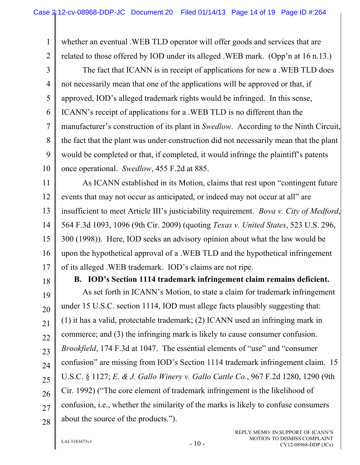1 2 3 whether an eventual .WEB TLD operator will offer goods and services that are related to those offered by IOD under its alleged .WEB mark. (Opp'n at 16 n.13.) The fact that ICANN is in receipt of applications for new a .WEB TLD does

4 5 6 7 8 9 10 not necessarily mean that one of the applications will be approved or that, if approved, IOD's alleged trademark rights would be infringed. In this sense, ICANN's receipt of applications for a .WEB TLD is no different than the manufacturer's construction of its plant in *Swedlow*. According to the Ninth Circuit, the fact that the plant was under construction did not necessarily mean that the plant would be completed or that, if completed, it would infringe the plaintiff's patents once operational. *Swedlow*, 455 F.2d at 885.

11 12 13 14 15 16 17 As ICANN established in its Motion, claims that rest upon "contingent future events that may not occur as anticipated, or indeed may not occur at all" are insufficient to meet Article III's justiciability requirement. *Bova v. City of Medford*, 564 F.3d 1093, 1096 (9th Cir. 2009) (quoting *Texas v. United States*, 523 U.S. 296, 300 (1998)). Here, IOD seeks an advisory opinion about what the law would be upon the hypothetical approval of a .WEB TLD and the hypothetical infringement of its alleged .WEB trademark. IOD's claims are not ripe.

18

**B. IOD's Section 1114 trademark infringement claim remains deficient.** 

19 20 21 22 23 24 25 26 27 28 As set forth in ICANN's Motion, to state a claim for trademark infringement under 15 U.S.C. section 1114, IOD must allege facts plausibly suggesting that: (1) it has a valid, protectable trademark; (2) ICANN used an infringing mark in commerce; and (3) the infringing mark is likely to cause consumer confusion. *Brookfield*, 174 F.3d at 1047. The essential elements of "use" and "consumer confusion" are missing from IOD's Section 1114 trademark infringement claim. 15 U.S.C. § 1127; *E. & J. Gallo Winery v. Gallo Cattle Co.*, 967 F.2d 1280, 1290 (9th Cir. 1992) ("The core element of trademark infringement is the likelihood of confusion, i.e., whether the similarity of the marks is likely to confuse consumers about the source of the products.").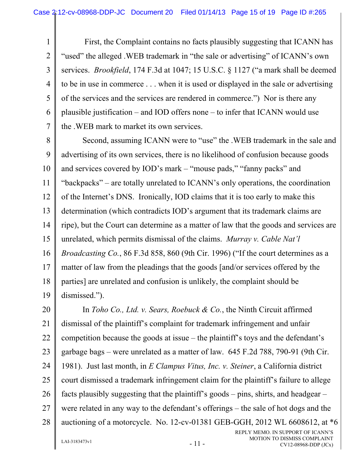1 2 3 4 5 6 7 First, the Complaint contains no facts plausibly suggesting that ICANN has "used" the alleged .WEB trademark in "the sale or advertising" of ICANN's own services. *Brookfield*, 174 F.3d at 1047; 15 U.S.C. § 1127 ("a mark shall be deemed to be in use in commerce . . . when it is used or displayed in the sale or advertising of the services and the services are rendered in commerce.") Nor is there any plausible justification – and IOD offers none – to infer that ICANN would use the .WEB mark to market its own services.

8 9 10 11 12 13 14 15 16 17 18 19 Second, assuming ICANN were to "use" the .WEB trademark in the sale and advertising of its own services, there is no likelihood of confusion because goods and services covered by IOD's mark – "mouse pads," "fanny packs" and "backpacks" – are totally unrelated to ICANN's only operations, the coordination of the Internet's DNS. Ironically, IOD claims that it is too early to make this determination (which contradicts IOD's argument that its trademark claims are ripe), but the Court can determine as a matter of law that the goods and services are unrelated, which permits dismissal of the claims. *Murray v. Cable Nat'l Broadcasting Co.*, 86 F.3d 858, 860 (9th Cir. 1996) ("If the court determines as a matter of law from the pleadings that the goods [and/or services offered by the parties] are unrelated and confusion is unlikely, the complaint should be dismissed.").

20 21 22 23 24 25 26 27 28 REPLY MEMO. IN SUPPORT OF ICANN'S In *Toho Co., Ltd. v. Sears, Roebuck & Co.*, the Ninth Circuit affirmed dismissal of the plaintiff's complaint for trademark infringement and unfair competition because the goods at issue – the plaintiff's toys and the defendant's garbage bags – were unrelated as a matter of law. 645 F.2d 788, 790-91 (9th Cir. 1981). Just last month, in *E Clampus Vitus, Inc. v. Steiner*, a California district court dismissed a trademark infringement claim for the plaintiff's failure to allege facts plausibly suggesting that the plaintiff's goods – pins, shirts, and headgear – were related in any way to the defendant's offerings – the sale of hot dogs and the auctioning of a motorcycle. No. 12-cv-01381 GEB-GGH, 2012 WL 6608612, at \*6

 $LAI-3183473v1$  -  $11$  -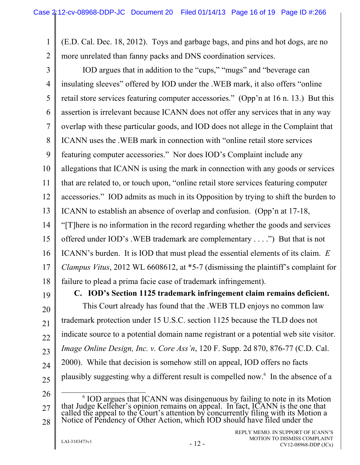(E.D. Cal. Dec. 18, 2012). Toys and garbage bags, and pins and hot dogs, are no more unrelated than fanny packs and DNS coordination services.

3 4 5 6 7 8 9 10 11 12 13 14 15 16 17 18 IOD argues that in addition to the "cups," "mugs" and "beverage can insulating sleeves" offered by IOD under the .WEB mark, it also offers "online retail store services featuring computer accessories." (Opp'n at 16 n. 13.) But this assertion is irrelevant because ICANN does not offer any services that in any way overlap with these particular goods, and IOD does not allege in the Complaint that ICANN uses the .WEB mark in connection with "online retail store services featuring computer accessories." Nor does IOD's Complaint include any allegations that ICANN is using the mark in connection with any goods or services that are related to, or touch upon, "online retail store services featuring computer accessories." IOD admits as much in its Opposition by trying to shift the burden to ICANN to establish an absence of overlap and confusion. (Opp'n at 17-18, "[T]here is no information in the record regarding whether the goods and services offered under IOD's .WEB trademark are complementary . . . .") But that is not ICANN's burden. It is IOD that must plead the essential elements of its claim. *E Clampus Vitus*, 2012 WL 6608612, at \*5-7 (dismissing the plaintiff's complaint for failure to plead a prima facie case of trademark infringement).

19

20

21

22

23

24

25

1

2

**C. IOD's Section 1125 trademark infringement claim remains deficient.**  This Court already has found that the .WEB TLD enjoys no common law trademark protection under 15 U.S.C. section 1125 because the TLD does not indicate source to a potential domain name registrant or a potential web site visitor. *Image Online Design, Inc. v. Core Ass'n*, 120 F. Supp. 2d 870, 876-77 (C.D. Cal. 2000). While that decision is somehow still on appeal, IOD offers no facts plausibly suggesting why a different result is compelled now.6 In the absence of a

26

27 28 6 <sup>6</sup> IOD argues that ICANN was disingenuous by failing to note in its Motion that Judge Kelleher's opinion remains on appeal. In fact, ICANN is the one that called the appeal to the Court's attention by concurrently filing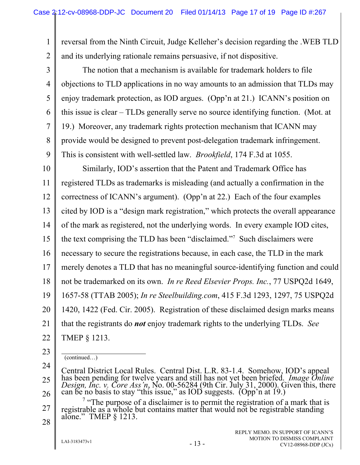1 2 reversal from the Ninth Circuit, Judge Kelleher's decision regarding the .WEB TLD and its underlying rationale remains persuasive, if not dispositive.

3 4 5 6 7 8 9 The notion that a mechanism is available for trademark holders to file objections to TLD applications in no way amounts to an admission that TLDs may enjoy trademark protection, as IOD argues. (Opp'n at 21.) ICANN's position on this issue is clear – TLDs generally serve no source identifying function. (Mot. at 19.) Moreover, any trademark rights protection mechanism that ICANN may provide would be designed to prevent post-delegation trademark infringement. This is consistent with well-settled law. *Brookfield*, 174 F.3d at 1055.

10 11 12 13 14 15 16 17 18 19 20 21 22 Similarly, IOD's assertion that the Patent and Trademark Office has registered TLDs as trademarks is misleading (and actually a confirmation in the correctness of ICANN's argument). (Opp'n at 22.) Each of the four examples cited by IOD is a "design mark registration," which protects the overall appearance of the mark as registered, not the underlying words. In every example IOD cites, the text comprising the TLD has been "disclaimed."7 Such disclaimers were necessary to secure the registrations because, in each case, the TLD in the mark merely denotes a TLD that has no meaningful source-identifying function and could not be trademarked on its own. *In re Reed Elsevier Props. Inc.*, 77 USPQ2d 1649, 1657-58 (TTAB 2005); *In re Steelbuilding.com*, 415 F.3d 1293, 1297, 75 USPQ2d 1420, 1422 (Fed. Cir. 2005). Registration of these disclaimed design marks means that the registrants do *not* enjoy trademark rights to the underlying TLDs. *See*  TMEP § 1213.

24

25

(continued…)

<sup>23</sup> 

Central District Local Rules. Central Dist. L.R. 83-1.4. Somehow, IOD's appeal<br>has been pending for twelve years and still has not yet been briefed. *Image Online*<br>*Design, Inc. v. Core Ass'n,* No. 00-56284 (9th Cir. July

<sup>26</sup> 

<sup>27</sup>  <sup>7</sup> "The purpose of a disclaimer is to permit the registration of a mark that is registrable as a whole but contains matter that would not be registrable standing alone." TMEP  $\S$  1213.

<sup>28</sup>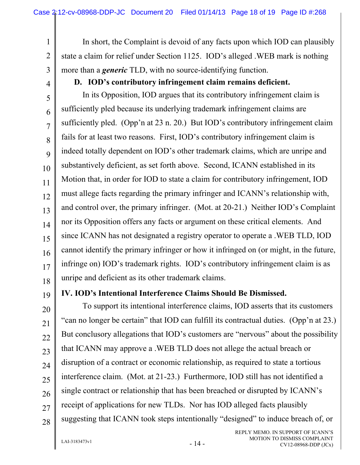In short, the Complaint is devoid of any facts upon which IOD can plausibly state a claim for relief under Section 1125. IOD's alleged .WEB mark is nothing more than a *generic* TLD, with no source-identifying function.

## **D. IOD's contributory infringement claim remains deficient.**

In its Opposition, IOD argues that its contributory infringement claim is sufficiently pled because its underlying trademark infringement claims are sufficiently pled. (Opp'n at 23 n. 20.) But IOD's contributory infringement claim fails for at least two reasons. First, IOD's contributory infringement claim is indeed totally dependent on IOD's other trademark claims, which are unripe and substantively deficient, as set forth above. Second, ICANN established in its Motion that, in order for IOD to state a claim for contributory infringement, IOD must allege facts regarding the primary infringer and ICANN's relationship with, and control over, the primary infringer. (Mot. at 20-21.) Neither IOD's Complaint nor its Opposition offers any facts or argument on these critical elements. And since ICANN has not designated a registry operator to operate a .WEB TLD, IOD cannot identify the primary infringer or how it infringed on (or might, in the future, infringe on) IOD's trademark rights. IOD's contributory infringement claim is as unripe and deficient as its other trademark claims.

19

18

1

2

3

4

5

6

7

8

9

10

11

12

13

14

15

16

17

20

21 22 23 24 25 26 27 28 To support its intentional interference claims, IOD asserts that its customers "can no longer be certain" that IOD can fulfill its contractual duties. (Opp'n at 23.) But conclusory allegations that IOD's customers are "nervous" about the possibility that ICANN may approve a .WEB TLD does not allege the actual breach or disruption of a contract or economic relationship, as required to state a tortious interference claim. (Mot. at 21-23.) Furthermore, IOD still has not identified a single contract or relationship that has been breached or disrupted by ICANN's receipt of applications for new TLDs. Nor has IOD alleged facts plausibly suggesting that ICANN took steps intentionally "designed" to induce breach of, or

**IV. IOD's Intentional Interference Claims Should Be Dismissed.** 

 $LAI-3183473v1$  - 14 -